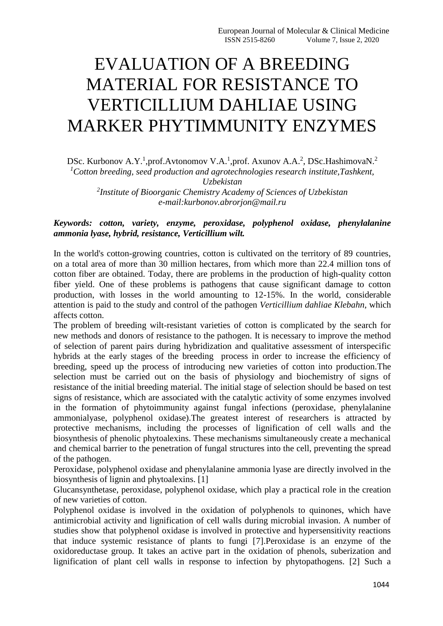# EVALUATION OF A BREEDING MATERIAL FOR RESISTANCE TO VERTICILLIUM DAHLIAE USING MARKER PHYTIMMUNITY ENZYMES

DSc. Kurbonov A.Y.<sup>1</sup>,prof.Avtonomov V.A.<sup>1</sup>,prof. Axunov A.A.<sup>2</sup>, DSc.HashimovaN.<sup>2</sup> *<sup>1</sup>Cotton breeding, seed production and agrotechnologies research institute,Tashkent, Uzbekistan 2 Institute of Bioorganic Chemistry Academy of Sciences of Uzbekistan*

*e-mail:kurbonov.abrorjon@mail.ru*

## *Keywords: cotton, variety, enzyme, peroxidase, polyphenol oxidase, phenylalanine ammonia lyase, hybrid, resistance, Verticillium wilt.*

In the world's cotton-growing countries, cotton is cultivated on the territory of 89 countries, on a total area of more than 30 million hectares, from which more than 22.4 million tons of cotton fiber are obtained. Today, there are problems in the production of high-quality cotton fiber yield. One of these problems is pathogens that cause significant damage to cotton production, with losses in the world amounting to 12-15%. In the world, considerable attention is paid to the study and control of the pathogen *Verticillium dahliae Klebahn*, which affects cotton.

The problem of breeding wilt-resistant varieties of cotton is complicated by the search for new methods and donors of resistance to the pathogen. It is necessary to improve the method of selection of parent pairs during hybridization and qualitative assessment of interspecific hybrids at the early stages of the breeding process in order to increase the efficiency of breeding, speed up the process of introducing new varieties of cotton into production.The selection must be carried out on the basis of physiology and biochemistry of signs of resistance of the initial breeding material. The initial stage of selection should be based on test signs of resistance, which are associated with the catalytic activity of some enzymes involved in the formation of phytoimmunity against fungal infections (peroxidase, phenylalanine ammonialyase, polyphenol oxidase).The greatest interest of researchers is attracted by protective mechanisms, including the processes of lignification of cell walls and the biosynthesis of phenolic phytoalexins. These mechanisms simultaneously create a mechanical and chemical barrier to the penetration of fungal structures into the cell, preventing the spread of the pathogen.

Peroxidase, polyphenol oxidase and phenylalanine ammonia lyase are directly involved in the biosynthesis of lignin and phytoalexins. [1]

Glucansynthetase, peroxidase, polyphenol oxidase, which play a practical role in the creation of new varieties of cotton.

Polyphenol oxidase is involved in the oxidation of polyphenols to quinones, which have antimicrobial activity and lignification of cell walls during microbial invasion. A number of studies show that polyphenol oxidase is involved in protective and hypersensitivity reactions that induce systemic resistance of plants to fungi [7].Peroxidase is an enzyme of the oxidoreductase group. It takes an active part in the oxidation of phenols, suberization and lignification of plant cell walls in response to infection by phytopathogens. [2] Such a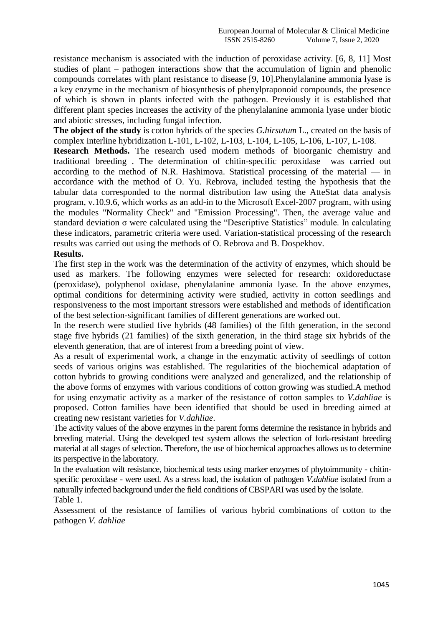resistance mechanism is associated with the induction of peroxidase activity. [6, 8, 11] Most studies of plant – pathogen interactions show that the accumulation of lignin and phenolic compounds correlates with plant resistance to disease [9, 10].Phenylalanine ammonia lyase is a key enzyme in the mechanism of biosynthesis of phenylpraponoid compounds, the presence of which is shown in plants infected with the pathogen. Previously it is established that different plant species increases the activity of the phenylalanine ammonia lyase under biotic and abiotic stresses, including fungal infection.

**The object of the study** is cotton hybrids of the species *G.hirsutum* L., created on the basis of complex interline hybridization L-101, L-102, L-103, L-104, L-105, L-106, L-107, L-108.

**Research Methods.** The research used modern methods of bioorganic chemistry and traditional breeding . The determination of chitin-specific peroxidase was carried out according to the method of N.R. Hashimova. Statistical processing of the material  $-$  in accordance with the method of O. Yu. Rebrova, included testing the hypothesis that the tabular data corresponded to the normal distribution law using the AtteStat data analysis program, v.10.9.6, which works as an add-in to the Microsoft Excel-2007 program, with using the modules "Normality Check" and "Emission Processing". Then, the average value and standard deviation σ were calculated using the "Descriptive Statistics" module. In calculating these indicators, parametric criteria were used. Variation-statistical processing of the research results was carried out using the methods of O. Rebrova and B. Dospekhov.

#### **Results.**

The first step in the work was the determination of the activity of enzymes, which should be used as markers. The following enzymes were selected for research: oxidoreductase (peroxidase), polyphenol oxidase, phenylalanine ammonia lyase. In the above enzymes, optimal conditions for determining activity were studied, activity in cotton seedlings and responsiveness to the most important stressors were established and methods of identification of the best selection-significant families of different generations are worked out.

In the reserch were studied five hybrids (48 families) of the fifth generation, in the second stage five hybrids (21 families) of the sixth generation, in the third stage six hybrids of the eleventh generation, that are of interest from a breeding point of view.

As a result of experimental work, a change in the enzymatic activity of seedlings of cotton seeds of various origins was established. The regularities of the biochemical adaptation of cotton hybrids to growing conditions were analyzed and generalized, and the relationship of the above forms of enzymes with various conditions of cotton growing was studied.A method for using enzymatic activity as a marker of the resistance of cotton samples to *V.dahliae* is proposed. Cotton families have been identified that should be used in breeding aimed at creating new resistant varieties for *V.dahliae*.

The activity values of the above enzymes in the parent forms determine the resistance in hybrids and breeding material. Using the developed test system allows the selection of fork-resistant breeding material at all stages of selection. Therefore, the use of biochemical approaches allows us to determine its perspective in the laboratory.

In the evaluation wilt resistance, biochemical tests using marker enzymes of phytoimmunity - chitinspecific peroxidase - were used. As a stress load, the isolation of pathogen *V.dahliae* isolated from a naturally infected background under the field conditions of CBSPARI was used by the isolate. Table 1.

Assessment of the resistance of families of various hybrid combinations of cotton to the pathogen *V. dahliae*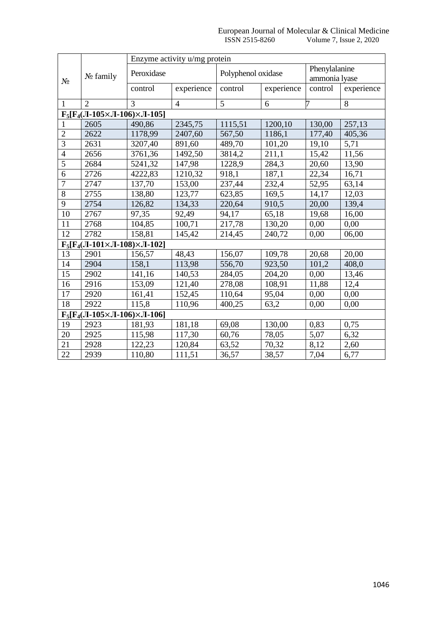|                                              | $N_2$ family                                 | Enzyme activity u/mg protein |                |                    |            |               |            |  |
|----------------------------------------------|----------------------------------------------|------------------------------|----------------|--------------------|------------|---------------|------------|--|
| $N_2$                                        |                                              | Peroxidase                   |                | Polyphenol oxidase |            | Phenylalanine |            |  |
|                                              |                                              |                              |                |                    |            | ammonia lyase |            |  |
|                                              |                                              | control                      | experience     | control            | experience | control       | experience |  |
| 1                                            | $\overline{2}$                               | 3                            | $\overline{4}$ | 5                  | 6          | 7             | 8          |  |
| $F_5[F_4(JI-105\times JI-106)\times JI-105]$ |                                              |                              |                |                    |            |               |            |  |
|                                              | 2605                                         | 490,86                       | 2345,75        | 1115,51            | 1200,10    | 130,00        | 257,13     |  |
| $\overline{c}$                               | 2622                                         | 1178,99                      | 2407,60        | 567,50             | 1186,1     | 177,40        | 405,36     |  |
| $\overline{3}$                               | 2631                                         | 3207,40                      | 891,60         | 489,70             | 101,20     | 19,10         | 5,71       |  |
| $\overline{4}$                               | 2656                                         | 3761,36                      | 1492,50        | 3814,2             | 211,1      | 15,42         | 11,56      |  |
| $\overline{5}$                               | 2684                                         | 5241,32                      | 147,98         | 1228,9             | 284,3      | 20,60         | 13,90      |  |
| 6                                            | 2726                                         | 4222,83                      | 1210,32        | 918,1              | 187,1      | 22,34         | 16,71      |  |
| $\overline{7}$                               | 2747                                         | 137,70                       | 153,00         | 237,44             | 232,4      | 52,95         | 63,14      |  |
| 8                                            | 2755                                         | 138,80                       | 123,77         | 623,85             | 169,5      | 14,17         | 12,03      |  |
| $\overline{9}$                               | 2754                                         | 126,82                       | 134,33         | 220,64             | 910,5      | 20,00         | 139,4      |  |
| 10                                           | 2767                                         | 97,35                        | 92,49          | 94,17              | 65,18      | 19,68         | 16,00      |  |
| 11                                           | 2768                                         | 104,85                       | 100,71         | 217,78             | 130,20     | 0,00          | 0,00       |  |
| 12                                           | 2782                                         | 158,81                       | 145,42         | 214,45             | 240,72     | 0,00          | 06,00      |  |
|                                              | $F_5[F_4(JI-101\times JI-108)\times JI-102]$ |                              |                |                    |            |               |            |  |
| 13                                           | 2901                                         | 156,57                       | 48,43          | 156,07             | 109,78     | 20,68         | 20,00      |  |
| 14                                           | 2904                                         | 158,1                        | 113,98         | 556,70             | 923,50     | 101,2         | 408,0      |  |
| 15                                           | 2902                                         | 141,16                       | 140,53         | 284,05             | 204,20     | 0,00          | 13,46      |  |
| 16                                           | 2916                                         | 153,09                       | 121,40         | 278,08             | 108,91     | 11,88         | 12,4       |  |
| 17                                           | 2920                                         | 161,41                       | 152,45         | 110,64             | 95,04      | 0,00          | 0,00       |  |
| 18                                           | 2922                                         | 115,8                        | 110,96         | 400,25             | 63,2       | 0,00          | 0,00       |  |
| $F_5[F_4(JI-105\times JI-106)\times JI-106]$ |                                              |                              |                |                    |            |               |            |  |
| 19                                           | 2923                                         | 181,93                       | 181,18         | 69,08              | 130,00     | 0,83          | 0,75       |  |
| 20                                           | 2925                                         | 115,98                       | 117,30         | 60,76              | 78,05      | 5,07          | 6,32       |  |
| 21                                           | 2928                                         | 122,23                       | 120,84         | 63,52              | 70,32      | 8,12          | 2,60       |  |
| 22                                           | 2939                                         | 110,80                       | 111,51         | 36,57              | 38,57      | 7,04          | 6,77       |  |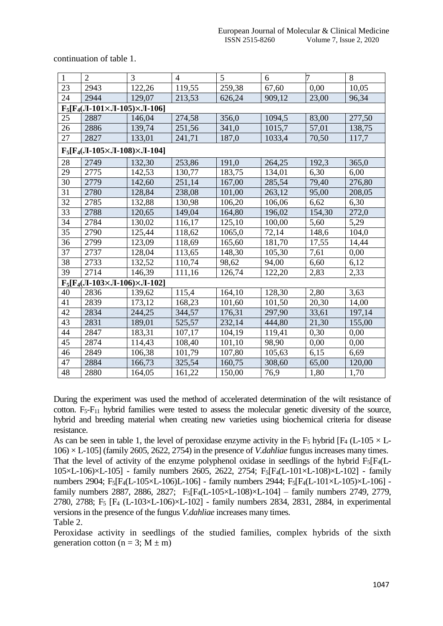continuation of table 1.

| $\mathbf{1}$                                 | $\overline{2}$ | $\overline{3}$ | $\overline{4}$ | 5      | 6      | 7      | 8      |
|----------------------------------------------|----------------|----------------|----------------|--------|--------|--------|--------|
| 23                                           | 2943           | 122,26         | 119,55         | 259,38 | 67,60  | 0,00   | 10,05  |
| 24                                           | 2944           | 129,07         | 213,53         | 626,24 | 909,12 | 23,00  | 96,34  |
| $F_5[F_4(JI-101\times JI-105)\times JI-106]$ |                |                |                |        |        |        |        |
| 25                                           | 2887           | 146,04         | 274,58         | 356,0  | 1094,5 | 83,00  | 277,50 |
| 26                                           | 2886           | 139,74         | 251,56         | 341,0  | 1015,7 | 57,01  | 138,75 |
| 27                                           | 2827           | 133,01         | 241,71         | 187,0  | 1033,4 | 70,50  | 117,7  |
| $F_5[F_4(JI-105\times JI-108)\times JI-104]$ |                |                |                |        |        |        |        |
| 28                                           | 2749           | 132,30         | 253,86         | 191,0  | 264,25 | 192,3  | 365,0  |
| 29                                           | 2775           | 142,53         | 130,77         | 183,75 | 134,01 | 6,30   | 6,00   |
| 30                                           | 2779           | 142,60         | 251,14         | 167,00 | 285,54 | 79,40  | 276,80 |
| 31                                           | 2780           | 128,84         | 238,08         | 101,00 | 263,12 | 95,00  | 208,05 |
| 32                                           | 2785           | 132,88         | 130,98         | 106,20 | 106,06 | 6,62   | 6,30   |
| 33                                           | 2788           | 120,65         | 149,04         | 164,80 | 196,02 | 154,30 | 272,0  |
| 34                                           | 2784           | 130,02         | 116,17         | 125,10 | 100,00 | 5,60   | 5,29   |
| 35                                           | 2790           | 125,44         | 118,62         | 1065,0 | 72,14  | 148,6  | 104,0  |
| 36                                           | 2799           | 123,09         | 118,69         | 165,60 | 181,70 | 17,55  | 14,44  |
| 37                                           | 2737           | 128,04         | 113,65         | 148,30 | 105,30 | 7,61   | 0,00   |
| 38                                           | 2733           | 132,52         | 110,74         | 98,62  | 94,00  | 6,60   | 6,12   |
| 39                                           | 2714           | 146,39         | 111,16         | 126,74 | 122,20 | 2,83   | 2,33   |
| $F_5[F_4(JI-103\times JI-106)\times JI-102]$ |                |                |                |        |        |        |        |
| 40                                           | 2836           | 139,62         | 115,4          | 164,10 | 128,30 | 2,80   | 3,63   |
| 41                                           | 2839           | 173,12         | 168,23         | 101,60 | 101,50 | 20,30  | 14,00  |
| 42                                           | 2834           | 244,25         | 344,57         | 176,31 | 297,90 | 33,61  | 197,14 |
| 43                                           | 2831           | 189,01         | 525,57         | 232,14 | 444,80 | 21,30  | 155,00 |
| 44                                           | 2847           | 183,31         | 107,17         | 104,19 | 119,41 | 0,30   | 0,00   |
| 45                                           | 2874           | 114,43         | 108,40         | 101,10 | 98,90  | 0,00   | 0,00   |
| 46                                           | 2849           | 106,38         | 101,79         | 107,80 | 105,63 | 6,15   | 6,69   |
| 47                                           | 2884           | 166,73         | 325,54         | 160,75 | 308,60 | 65,00  | 120,00 |
| 48                                           | 2880           | 164,05         | 161,22         | 150,00 | 76,9   | 1,80   | 1,70   |

During the experiment was used the method of accelerated determination of the wilt resistance of cotton. F<sub>5</sub>-F<sub>11</sub> hybrid families were tested to assess the molecular genetic diversity of the source, hybrid and breeding material when creating new varieties using biochemical criteria for disease resistance.

As can be seen in table 1, the level of peroxidase enzyme activity in the  $F_5$  hybrid  $[F_4 (L-105 \times L-105^2)]$ 106) × L-105] (family 2605, 2622, 2754) in the presence of *V.dahliae* fungus increases many times. That the level of activity of the enzyme polyphenol oxidase in seedlings of the hybrid  $F_5$ [F<sub>4</sub>(L-105×L-106)×L-105] - family numbers 2605, 2622, 2754; F5[F4(L-101×L-108)×L-102] - family numbers 2904; F5[F4(L-105×L-106)L-106] - family numbers 2944; F5[F4(L-101×L-105)×L-106] family numbers 2887, 2886, 2827;  $F_5[F_4(L-105\times L-108)\times L-104]$  – family numbers 2749, 2779, 2780, 2788; F<sup>5</sup> [F<sup>4</sup> (L-103×L-106)×L-102] - family numbers 2834, 2831, 2884, in experimental versions in the presence of the fungus *V.dahliae* increases many times. Table 2.

Peroxidase activity in seedlings of the studied families, complex hybrids of the sixth generation cotton ( $n = 3$ ;  $M \pm m$ )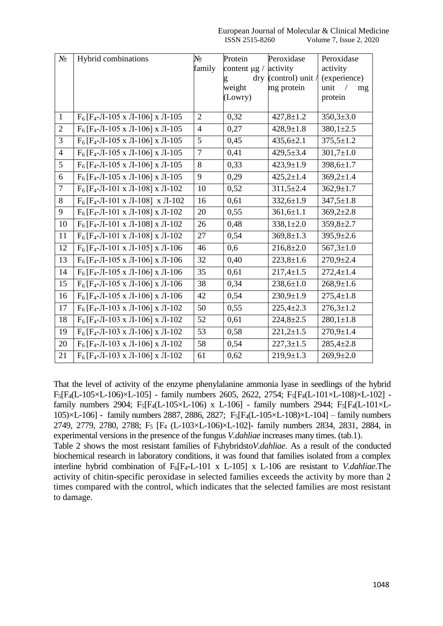| $N_{\Omega}$   | Hybrid combinations                              | $N_2$          | Protein<br>Peroxidase |                  | Peroxidase      |  |
|----------------|--------------------------------------------------|----------------|-----------------------|------------------|-----------------|--|
|                |                                                  | family         | content $\mu$ g /     | activity         | activity        |  |
|                |                                                  |                | $\rm{d}$ ry           | (control) unit / | (experience)    |  |
|                |                                                  |                | weight                | mg protein       | unit<br>mg      |  |
|                |                                                  |                | (Lowry)               |                  | protein         |  |
| $\mathbf{1}$   | $F_6$ [F <sub>4</sub> -JI-105 x JI-106] x JI-105 | $\overline{2}$ | 0,32                  | $427,8 \pm 1.2$  | $350,3{\pm}3.0$ |  |
|                |                                                  |                |                       |                  |                 |  |
| $\overline{2}$ | $F_6$ [F <sub>4</sub> -JI-105 x JI-106] x JI-105 | $\overline{4}$ | 0,27                  | $428,9 \pm 1.8$  | $380,1{\pm}2.5$ |  |
| 3              | $F_6$ [F <sub>4</sub> -JI-105 x JI-106] x JI-105 | 5              | 0,45                  | $435,6 \pm 2.1$  | $375,5 \pm 1.2$ |  |
| $\overline{4}$ | $F_6$ [ $F_4$ -JI-105 x JI-106] x JI-105         | $\tau$         | 0,41                  | $429,5 \pm 3.4$  | $301,7{\pm}1.0$ |  |
| 5              | $F_6$ [F <sub>4</sub> -JI-105 x JI-106] x JI-105 | 8              | 0,33                  | $423,9 \pm 1.9$  | $398,6 \pm 1.7$ |  |
| 6              | $F_6$ [F <sub>4</sub> -JI-105 x JI-106] x JI-105 | 9              | 0,29                  | $425,2 \pm 1.4$  | $369,2 \pm 1.4$ |  |
| $\overline{7}$ | $F_6$ [F <sub>4</sub> -JI-101 x JI-108] x JI-102 | 10             | 0,52                  | $311,5 \pm 2.4$  | $362,9 \pm 1.7$ |  |
| 8              | $F_6$ [F <sub>4</sub> -JI-101 x JI-108] x JI-102 | 16             | 0,61                  | $332,6 \pm 1.9$  | $347,5 \pm 1.8$ |  |
| 9              | $F_6$ [F <sub>4</sub> -JI-101 x JI-108] x JI-102 | 20             | 0,55                  | $361,6 \pm 1.1$  | $369,2{\pm}2.8$ |  |
| 10             | $F_6$ [F <sub>4</sub> -JI-101 x JI-108] x JI-102 | 26             | 0,48                  | $338,1 \pm 2.0$  | $359,8 \pm 2.7$ |  |
| 11             | $F_6$ [F <sub>4</sub> -JI-101 x JI-108] x JI-102 | 27             | 0,54                  | $369,8 \pm 1.3$  | $395,9{\pm}2.6$ |  |
| 12             | $F_6$ [F <sub>4</sub> -JI-101 x JI-105] x JI-106 | 46             | 0,6                   | $216,8+2.0$      | $567,3 \pm 1.0$ |  |
| 13             | $F_6$ [F <sub>4</sub> -JI-105 x JI-106] x JI-106 | 32             | 0,40                  | $223,8 \pm 1.6$  | $270,9{\pm}2.4$ |  |
| 14             | $F_6$ [F <sub>4</sub> -JI-105 x JI-106] x JI-106 | 35             | 0,61                  | $217,4 \pm 1.5$  | $272,4 \pm 1.4$ |  |
| 15             | $F_6$ [ $F_4$ -JI-105 x JI-106] x JI-106         | 38             | 0,34                  | $238,6 \pm 1.0$  | $268,9 \pm 1.6$ |  |
| 16             | $F_6$ [F <sub>4</sub> -JI-105 x JI-106] x JI-106 | 42             | 0,54                  | $230,9 \pm 1.9$  | $275,4 \pm 1.8$ |  |
| 17             | $F_6$ [F <sub>4</sub> -JI-103 x JI-106] x JI-102 | 50             | 0,55                  | $225,4 \pm 2.3$  | $276,3 \pm 1.2$ |  |
| 18             | $F_6$ [F <sub>4</sub> -JI-103 x JI-106] x JI-102 | 52             | 0,61                  | $224,8 \pm 2.5$  | $280,1 \pm 1.8$ |  |
| 19             | $F_6$ [F <sub>4</sub> -JI-103 x JI-106] x JI-102 | 53             | 0,58                  | $221,2+1.5$      | $270,9 \pm 1.4$ |  |
| 20             | $F_6$ [F <sub>4</sub> -Л-103 х Л-106] х Л-102    | 58             | 0,54                  | $227,3 \pm 1.5$  | $285,4{\pm}2.8$ |  |
| 21             | $F_6$ [F <sub>4</sub> -JI-103 x JI-106] x JI-102 | 61             | 0,62                  | $219,9 \pm 1.3$  | $269,9{\pm}2.0$ |  |

That the level of activity of the enzyme phenylalanine ammonia lyase in seedlings of the hybrid F5[F4(L-105×L-106)×L-105] - family numbers 2605, 2622, 2754; F5[F4(L-101×L-108)×L-102] family numbers 2904;  $F_5[F_4(L-105\times L-106) \times L-106]$  - family numbers 2944;  $F_5[F_4(L-101\times L-106) \times L-106]$ 105) $\times$ L-106] - family numbers 2887, 2886, 2827; F<sub>5</sub>[F<sub>4</sub>(L-105 $\times$ L-108) $\times$ L-104] – family numbers 2749, 2779, 2780, 2788; F<sup>5</sup> [F<sup>4</sup> (L-103×L-106)×L-102]- family numbers 2834, 2831, 2884, in experimental versions in the presence of the fungus *V.dahliae* increases many times. (tab.1).

Table 2 shows the most resistant families of F<sub>6</sub>hybridsto*V.dahliae*. As a result of the conducted biochemical research in laboratory conditions, it was found that families isolated from a complex interline hybrid combination of F6[F4-L-101 x L-105] x L-106 are resistant to *V.dahliae*.The activity of chitin-specific peroxidase in selected families exceeds the activity by more than 2 times compared with the control, which indicates that the selected families are most resistant to damage.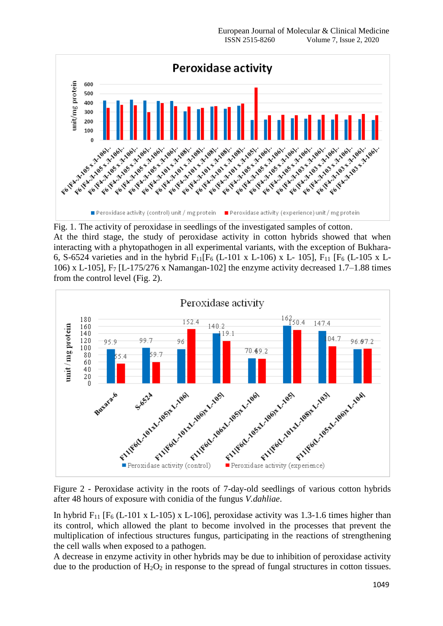

Fig. 1. The activity of peroxidase in seedlings of the investigated samples of cotton. At the third stage, the study of peroxidase activity in cotton hybrids showed that when interacting with a phytopathogen in all experimental variants, with the exception of Bukhara-6, S-6524 varieties and in the hybrid  $F_{11}[F_6$  (L-101 x L-106) x L-105],  $F_{11}[F_6$  (L-105 x L-106) x L-105], F<sup>7</sup> [L-175/276 x Namangan-102] the enzyme activity decreased 1.7–1.88 times from the control level (Fig. 2).



Figure 2 - Peroxidase activity in the roots of 7-day-old seedlings of various cotton hybrids after 48 hours of exposure with conidia of the fungus *V.dahliae*.

In hybrid F<sub>11</sub> [F<sub>6</sub> (L-101 x L-105) x L-106], peroxidase activity was 1.3-1.6 times higher than its control, which allowed the plant to become involved in the processes that prevent the multiplication of infectious structures fungus, participating in the reactions of strengthening the cell walls when exposed to a pathogen.

A decrease in enzyme activity in other hybrids may be due to inhibition of peroxidase activity due to the production of  $H_2O_2$  in response to the spread of fungal structures in cotton tissues.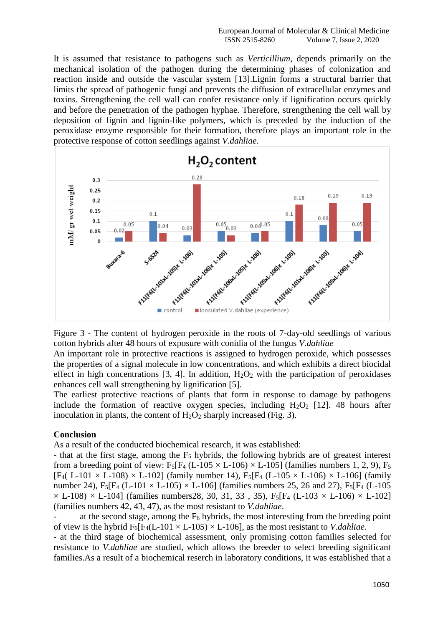It is assumed that resistance to pathogens such as *Verticillium*, depends primarily on the mechanical isolation of the pathogen during the determining phases of colonization and reaction inside and outside the vascular system [13].Lignin forms a structural barrier that limits the spread of pathogenic fungi and prevents the diffusion of extracellular enzymes and toxins. Strengthening the cell wall can confer resistance only if lignification occurs quickly and before the penetration of the pathogen hyphae. Therefore, strengthening the cell wall by deposition of lignin and lignin-like polymers, which is preceded by the induction of the peroxidase enzyme responsible for their formation, therefore plays an important role in the protective response of cotton seedlings against *V.dahliae*.



Figure 3 - The content of hydrogen peroxide in the roots of 7-day-old seedlings of various cotton hybrids after 48 hours of exposure with conidia of the fungus *V.dahliae*

An important role in protective reactions is assigned to hydrogen peroxide, which possesses the properties of a signal molecule in low concentrations, and which exhibits a direct biocidal effect in high concentrations [3, 4]. In addition,  $H_2O_2$  with the participation of peroxidases enhances cell wall strengthening by lignification [5].

The earliest protective reactions of plants that form in response to damage by pathogens include the formation of reactive oxygen species, including  $H_2O_2$  [12]. 48 hours after inoculation in plants, the content of  $H_2O_2$  sharply increased (Fig. 3).

# **Conclusion**

As a result of the conducted biochemical research, it was established:

- that at the first stage, among the  $F<sub>5</sub>$  hybrids, the following hybrids are of greatest interest from a breeding point of view:  $F_5[F_4 (L-105 \times L-106) \times L-105]$  (families numbers 1, 2, 9),  $F_5$  $[F_4(L-101 \times L-108) \times L-102]$  (family number 14),  $F_5[F_4(L-105 \times L-106) \times L-106]$  (family number 24), F<sub>5</sub>[F<sub>4</sub> (L-101  $\times$  L-105)  $\times$  L-106] (families numbers 25, 26 and 27), F<sub>5</sub>[F<sub>4</sub> (L-105)  $\times$  L-108)  $\times$  L-104] (families numbers 28, 30, 31, 33, 35), F<sub>5</sub>[F<sub>4</sub> (L-103  $\times$  L-106)  $\times$  L-102] (families numbers 42, 43, 47), as the most resistant to *V.dahliae*.

at the second stage, among the  $F_6$  hybrids, the most interesting from the breeding point of view is the hybrid  $F_6[F_4(L-101 \times L-105) \times L-106]$ , as the most resistant to *V.dahliae*.

- at the third stage of biochemical assessment, only promising cotton families selected for resistance to *V.dahliae* are studied, which allows the breeder to select breeding significant families.As a result of a biochemical reserch in laboratory conditions, it was established that a